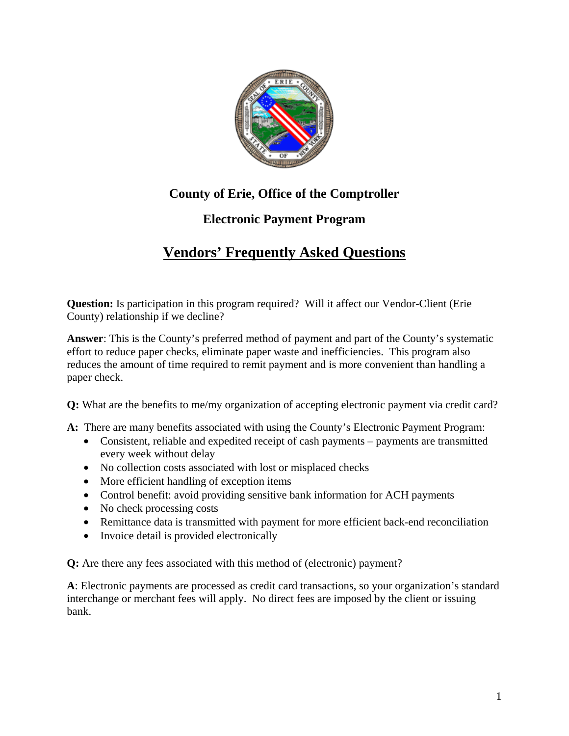

## **County of Erie, Office of the Comptroller**

## **Electronic Payment Program**

## **Vendors' Frequently Asked Questions**

**Question:** Is participation in this program required? Will it affect our Vendor-Client (Erie County) relationship if we decline?

**Answer**: This is the County's preferred method of payment and part of the County's systematic effort to reduce paper checks, eliminate paper waste and inefficiencies. This program also reduces the amount of time required to remit payment and is more convenient than handling a paper check.

**Q:** What are the benefits to me/my organization of accepting electronic payment via credit card?

- **A:** There are many benefits associated with using the County's Electronic Payment Program:
	- Consistent, reliable and expedited receipt of cash payments payments are transmitted every week without delay
	- No collection costs associated with lost or misplaced checks
	- More efficient handling of exception items
	- Control benefit: avoid providing sensitive bank information for ACH payments
	- No check processing costs
	- Remittance data is transmitted with payment for more efficient back-end reconciliation
	- Invoice detail is provided electronically

**Q:** Are there any fees associated with this method of (electronic) payment?

**A**: Electronic payments are processed as credit card transactions, so your organization's standard interchange or merchant fees will apply. No direct fees are imposed by the client or issuing bank.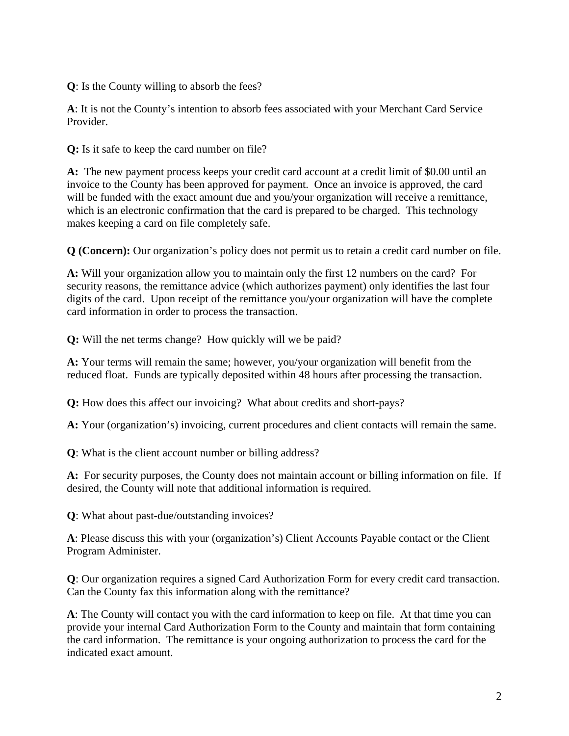**Q**: Is the County willing to absorb the fees?

**A**: It is not the County's intention to absorb fees associated with your Merchant Card Service Provider.

**Q:** Is it safe to keep the card number on file?

**A:** The new payment process keeps your credit card account at a credit limit of \$0.00 until an invoice to the County has been approved for payment. Once an invoice is approved, the card will be funded with the exact amount due and you/your organization will receive a remittance, which is an electronic confirmation that the card is prepared to be charged. This technology makes keeping a card on file completely safe.

**Q (Concern):** Our organization's policy does not permit us to retain a credit card number on file.

**A:** Will your organization allow you to maintain only the first 12 numbers on the card? For security reasons, the remittance advice (which authorizes payment) only identifies the last four digits of the card. Upon receipt of the remittance you/your organization will have the complete card information in order to process the transaction.

**Q:** Will the net terms change? How quickly will we be paid?

**A:** Your terms will remain the same; however, you/your organization will benefit from the reduced float. Funds are typically deposited within 48 hours after processing the transaction.

**Q:** How does this affect our invoicing? What about credits and short-pays?

**A:** Your (organization's) invoicing, current procedures and client contacts will remain the same.

**Q**: What is the client account number or billing address?

**A:** For security purposes, the County does not maintain account or billing information on file. If desired, the County will note that additional information is required.

**Q**: What about past-due/outstanding invoices?

**A**: Please discuss this with your (organization's) Client Accounts Payable contact or the Client Program Administer.

**Q**: Our organization requires a signed Card Authorization Form for every credit card transaction. Can the County fax this information along with the remittance?

**A**: The County will contact you with the card information to keep on file. At that time you can provide your internal Card Authorization Form to the County and maintain that form containing the card information. The remittance is your ongoing authorization to process the card for the indicated exact amount.